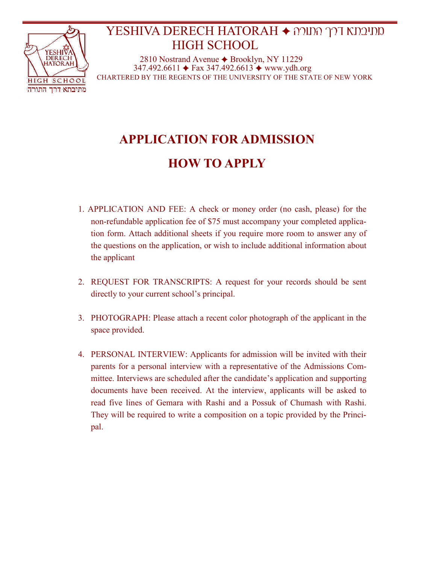

## מתיבתא דרך התורה HATORAH DERECH YESHIVA HIGH SCHOOL

2810 Nostrand Avenue ◆ Brooklyn, NY 11229  $347.492.6611 \div \text{Fax } 347.492.6613 \div \text{www.ydh.org}$ CHARTERED BY THE REGENTS OF THE UNIVERSITY OF THE STATE OF NEW YORK

# **APPLICATION FOR ADMISSION HOW TO APPLY**

- 1. APPLICATION AND FEE: A check or money order (no cash, please) for the non-refundable application fee of \$75 must accompany your completed application form. Attach additional sheets if you require more room to answer any of the questions on the application, or wish to include additional information about the applicant
- 2. REQUEST FOR TRANSCRIPTS: A request for your records should be sent directly to your current school's principal.
- 3. PHOTOGRAPH: Please attach a recent color photograph of the applicant in the space provided.
- 4. PERSONAL INTERVIEW: Applicants for admission will be invited with their parents for a personal interview with a representative of the Admissions Committee. Interviews are scheduled after the candidate's application and supporting documents have been received. At the interview, applicants will be asked to read five lines of Gemara with Rashi and a Possuk of Chumash with Rashi. They will be required to write a composition on a topic provided by the Principal.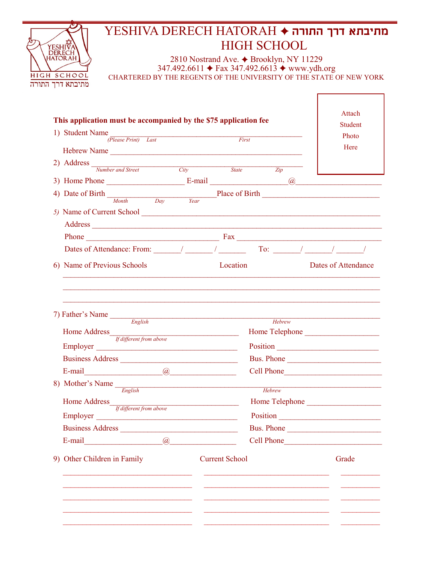### מתיבתא דרך התורה ♦ YESHIVA DERECH HATORAH **HIGH SCHOOL** YESHIVA 2810 Nostrand Ave.  $\triangle$  Brooklyn, NY 11229<br>347.492.6611  $\triangle$  Fax 347.492.6613  $\triangle$  www.ydh.org HIGH SCHOOL CHARTERED BY THE REGENTS OF THE UNIVERSITY OF THE STATE OF NEW YORK מתיבתא דרך התורה

| This application must be accompanied by the \$75 application fee                                                                                                                                                                                                                                                                                                                                       |                                                    | Attach<br>Student   |
|--------------------------------------------------------------------------------------------------------------------------------------------------------------------------------------------------------------------------------------------------------------------------------------------------------------------------------------------------------------------------------------------------------|----------------------------------------------------|---------------------|
| 1) Student Name                                                                                                                                                                                                                                                                                                                                                                                        |                                                    | Photo               |
| $\frac{3}{(Please Print)}$ Last First                                                                                                                                                                                                                                                                                                                                                                  |                                                    | Here                |
| Hebrew Name                                                                                                                                                                                                                                                                                                                                                                                            |                                                    |                     |
| 2) Address $\frac{N$ Number and Street City                                                                                                                                                                                                                                                                                                                                                            | State<br>Zip                                       |                     |
|                                                                                                                                                                                                                                                                                                                                                                                                        |                                                    |                     |
|                                                                                                                                                                                                                                                                                                                                                                                                        |                                                    |                     |
| 4) Date of Birth $\frac{p_{\text{dark}}}{\frac{M_{\text{on}} + 1}{N_{\text{on}} + 1}}$ Place of Birth                                                                                                                                                                                                                                                                                                  |                                                    |                     |
|                                                                                                                                                                                                                                                                                                                                                                                                        |                                                    |                     |
|                                                                                                                                                                                                                                                                                                                                                                                                        |                                                    |                     |
|                                                                                                                                                                                                                                                                                                                                                                                                        |                                                    |                     |
| Dates of Attendance: From: $\frac{1}{\sqrt{1-\frac{1}{2}}}\frac{1}{\sqrt{1-\frac{1}{2}}}\frac{1}{\sqrt{1-\frac{1}{2}}}\frac{1}{\sqrt{1-\frac{1}{2}}}\frac{1}{\sqrt{1-\frac{1}{2}}}\frac{1}{\sqrt{1-\frac{1}{2}}}\frac{1}{\sqrt{1-\frac{1}{2}}}\frac{1}{\sqrt{1-\frac{1}{2}}}\frac{1}{\sqrt{1-\frac{1}{2}}}\frac{1}{\sqrt{1-\frac{1}{2}}}\frac{1}{\sqrt{1-\frac{1}{2}}}\frac{1}{\sqrt{1-\frac{1}{2}}}\$ |                                                    |                     |
| 6) Name of Previous Schools                                                                                                                                                                                                                                                                                                                                                                            | Location                                           | Dates of Attendance |
| 7) Father's Name $\frac{E_{nglish}}{E_{nglish}}$<br>Home Address<br>If different from above<br>Employer<br>Business Address                                                                                                                                                                                                                                                                            | Hebrew<br>Home Telephone<br>Position<br>Bus. Phone |                     |
|                                                                                                                                                                                                                                                                                                                                                                                                        | Cell Phone                                         |                     |
|                                                                                                                                                                                                                                                                                                                                                                                                        |                                                    |                     |
| 8) Mother's Name $\frac{E_{nglish}}{English}$                                                                                                                                                                                                                                                                                                                                                          | Hebrew                                             |                     |
| Home Address<br><u> 1990 - Johann Barbara, martin a</u><br>If different from above                                                                                                                                                                                                                                                                                                                     | Home Telephone                                     |                     |
| Employer <u>example</u>                                                                                                                                                                                                                                                                                                                                                                                | Position                                           |                     |
| <b>Business Address</b>                                                                                                                                                                                                                                                                                                                                                                                | Bus. Phone                                         |                     |
| E-mail<br>$\omega$                                                                                                                                                                                                                                                                                                                                                                                     | Cell Phone                                         |                     |
| 9) Other Children in Family                                                                                                                                                                                                                                                                                                                                                                            | <b>Current School</b>                              | Grade               |
|                                                                                                                                                                                                                                                                                                                                                                                                        |                                                    |                     |
|                                                                                                                                                                                                                                                                                                                                                                                                        |                                                    |                     |
|                                                                                                                                                                                                                                                                                                                                                                                                        |                                                    |                     |
|                                                                                                                                                                                                                                                                                                                                                                                                        |                                                    |                     |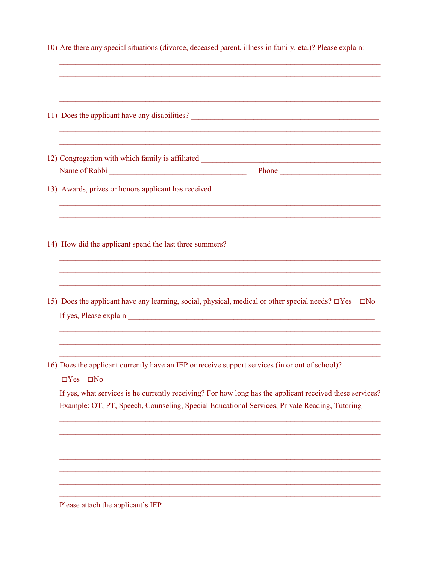| 10) Are there any special situations (divorce, deceased parent, illness in family, etc.)? Please explain:                                                                                                                               |
|-----------------------------------------------------------------------------------------------------------------------------------------------------------------------------------------------------------------------------------------|
| 11) Does the applicant have any disabilities?                                                                                                                                                                                           |
| Phone                                                                                                                                                                                                                                   |
|                                                                                                                                                                                                                                         |
| ,我们也不能在这里的时候,我们也不能在这里的时候,我们也不能不能不能不能不能不能不能不能不能不能不能不能不能不能。""我们的是,我们也不能不能不能不能不能不能不                                                                                                                                                        |
| 15) Does the applicant have any learning, social, physical, medical or other special needs? $\Box$ Yes<br>$\Box$ No                                                                                                                     |
| 16) Does the applicant currently have an IEP or receive support services (in or out of school)?<br>$\Box Yes \quad \Box No$<br>If yes, what services is he currently receiving? For how long has the applicant received these services? |
| Example: OT, PT, Speech, Counseling, Special Educational Services, Private Reading, Tutoring                                                                                                                                            |
| Please attach the applicant's IEP                                                                                                                                                                                                       |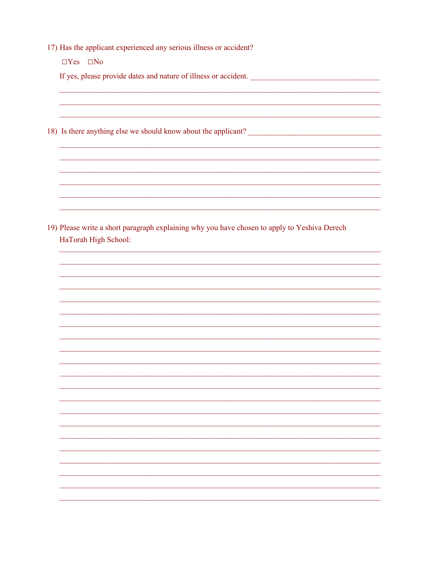17) Has the applicant experienced any serious illness or accident?

 $\Box Yes \quad \Box No$ 

If yes, please provide dates and nature of illness or accident.

18) Is there anything else we should know about the applicant?

19) Please write a short paragraph explaining why you have chosen to apply to Yeshiva Derech HaTorah High School:

<u> 1989 - Johann Barbara, marka a shekara ta 1989 - An tsara tsa a shekara tsa a shekara tsa a shekara tsa a sh</u>

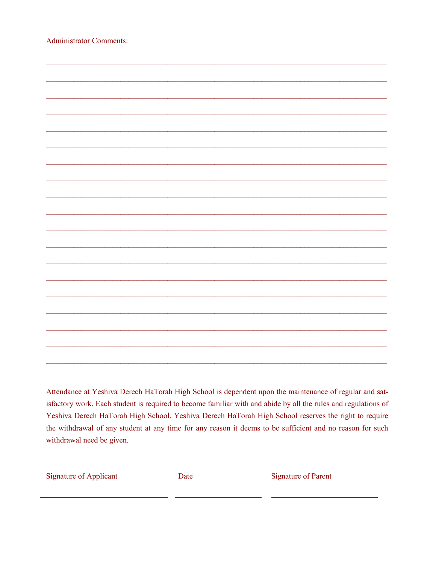| <b>Administrator Comments:</b> |  |  |
|--------------------------------|--|--|
|                                |  |  |
|                                |  |  |
|                                |  |  |
|                                |  |  |
|                                |  |  |
|                                |  |  |
|                                |  |  |
|                                |  |  |
|                                |  |  |
|                                |  |  |
|                                |  |  |
|                                |  |  |
|                                |  |  |
|                                |  |  |
|                                |  |  |
|                                |  |  |
|                                |  |  |
|                                |  |  |
|                                |  |  |
|                                |  |  |
|                                |  |  |
|                                |  |  |
|                                |  |  |

Attendance at Yeshiva Derech HaTorah High School is dependent upon the maintenance of regular and satisfactory work. Each student is required to become familiar with and abide by all the rules and regulations of Yeshiva Derech HaTorah High School. Yeshiva Derech HaTorah High School reserves the right to require the withdrawal of any student at any time for any reason it deems to be sufficient and no reason for such withdrawal need be given.

**Signature of Applicant** 

Date

**Signature of Parent**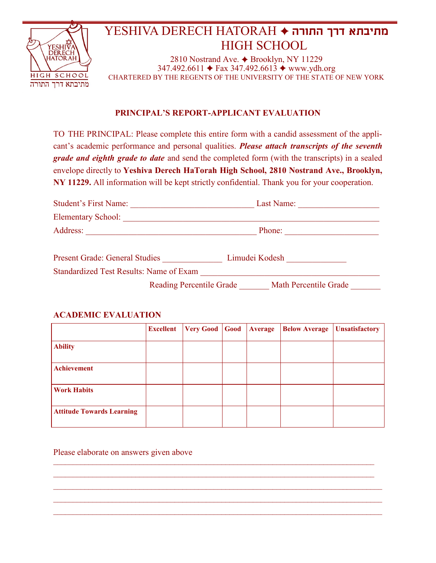

## **מתיבתא דרך התורה** HATORAH DERECH YESHIVA HIGH SCHOOL

2810 Nostrand Ave.  $\triangle$  Brooklyn, NY 11229  $347.492.6611 \div$  Fax 347.492.6613  $\div$  www.ydh.org CHARTERED BY THE REGENTS OF THE UNIVERSITY OF THE STATE OF NEW YORK

#### **PRINCIPAL'S REPORT-APPLICANT EVALUATION**

TO THE PRINCIPAL: Please complete this entire form with a candid assessment of the applicant's academic performance and personal qualities. *Please attach transcripts of the seventh grade and eighth grade to date* and send the completed form (with the transcripts) in a sealed envelope directly to **Yeshiva Derech HaTorah High School, 2810 Nostrand Ave., Brooklyn, NY 11229.** All information will be kept strictly confidential. Thank you for your cooperation.

| <b>Student's First Name:</b>                   | Last Name:            |  |  |  |  |
|------------------------------------------------|-----------------------|--|--|--|--|
| <b>Elementary School:</b>                      |                       |  |  |  |  |
| Address:                                       | Phone:                |  |  |  |  |
| <b>Present Grade: General Studies</b>          | Limudei Kodesh        |  |  |  |  |
| <b>Standardized Test Results: Name of Exam</b> |                       |  |  |  |  |
| <b>Reading Percentile Grade</b>                | Math Percentile Grade |  |  |  |  |

#### **ACADEMIC EVALUATION**

|                                  | <b>Excellent</b> | <b>Very Good</b> | Good | Average | <b>Below Average</b> | <b>Unsatisfactory</b> |
|----------------------------------|------------------|------------------|------|---------|----------------------|-----------------------|
| <b>Ability</b>                   |                  |                  |      |         |                      |                       |
| <b>Achievement</b>               |                  |                  |      |         |                      |                       |
| <b>Work Habits</b>               |                  |                  |      |         |                      |                       |
| <b>Attitude Towards Learning</b> |                  |                  |      |         |                      |                       |

 $\mathcal{L}_\mathcal{L} = \{ \mathcal{L}_\mathcal{L} = \{ \mathcal{L}_\mathcal{L} = \{ \mathcal{L}_\mathcal{L} = \{ \mathcal{L}_\mathcal{L} = \{ \mathcal{L}_\mathcal{L} = \{ \mathcal{L}_\mathcal{L} = \{ \mathcal{L}_\mathcal{L} = \{ \mathcal{L}_\mathcal{L} = \{ \mathcal{L}_\mathcal{L} = \{ \mathcal{L}_\mathcal{L} = \{ \mathcal{L}_\mathcal{L} = \{ \mathcal{L}_\mathcal{L} = \{ \mathcal{L}_\mathcal{L} = \{ \mathcal{L}_\mathcal{$ 

 $\mathcal{L}_\mathcal{L} = \{ \mathcal{L}_\mathcal{L} = \{ \mathcal{L}_\mathcal{L} = \{ \mathcal{L}_\mathcal{L} = \{ \mathcal{L}_\mathcal{L} = \{ \mathcal{L}_\mathcal{L} = \{ \mathcal{L}_\mathcal{L} = \{ \mathcal{L}_\mathcal{L} = \{ \mathcal{L}_\mathcal{L} = \{ \mathcal{L}_\mathcal{L} = \{ \mathcal{L}_\mathcal{L} = \{ \mathcal{L}_\mathcal{L} = \{ \mathcal{L}_\mathcal{L} = \{ \mathcal{L}_\mathcal{L} = \{ \mathcal{L}_\mathcal{$  $\_$  , and the state of the state of the state of the state of the state of the state of the state of the state of the state of the state of the state of the state of the state of the state of the state of the state of the

Please elaborate on answers given above